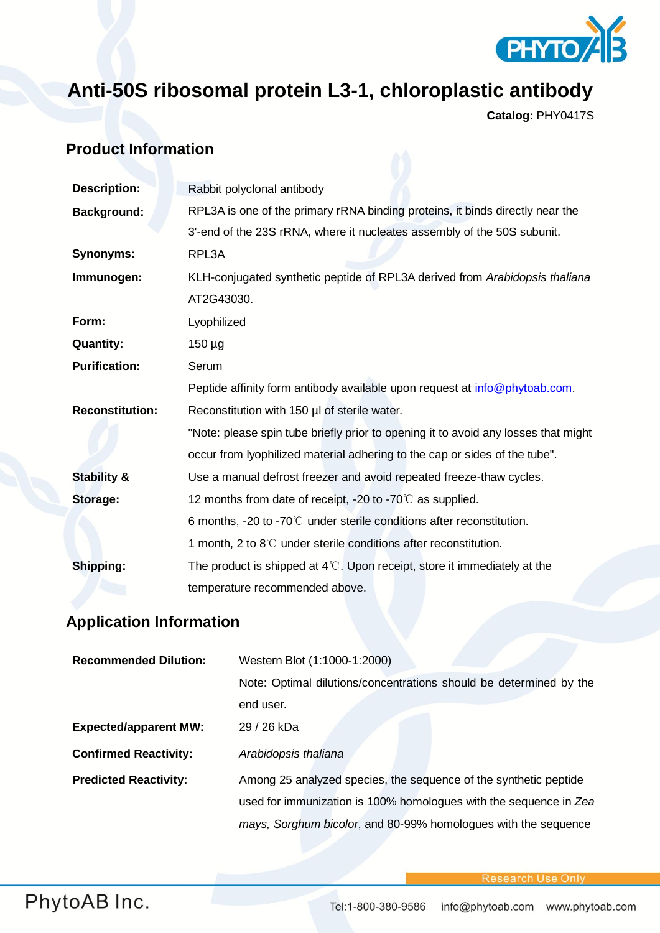

## **Anti-50S ribosomal protein L3-1, chloroplastic antibody**

**Catalog:** PHY0417S

## **Product Information**

| <b>Description:</b>                                                    | Rabbit polyclonal antibody                                                         |  |  |  |  |
|------------------------------------------------------------------------|------------------------------------------------------------------------------------|--|--|--|--|
| <b>Background:</b>                                                     | RPL3A is one of the primary rRNA binding proteins, it binds directly near the      |  |  |  |  |
|                                                                        | 3'-end of the 23S rRNA, where it nucleates assembly of the 50S subunit.            |  |  |  |  |
| <b>Synonyms:</b>                                                       | RPL3A                                                                              |  |  |  |  |
| Immunogen:                                                             | KLH-conjugated synthetic peptide of RPL3A derived from Arabidopsis thaliana        |  |  |  |  |
|                                                                        | AT2G43030.                                                                         |  |  |  |  |
| Form:                                                                  | Lyophilized                                                                        |  |  |  |  |
| <b>Quantity:</b>                                                       | $150 \mu g$                                                                        |  |  |  |  |
| <b>Purification:</b>                                                   | Serum                                                                              |  |  |  |  |
|                                                                        | Peptide affinity form antibody available upon request at info@phytoab.com.         |  |  |  |  |
| <b>Reconstitution:</b><br>Reconstitution with 150 µl of sterile water. |                                                                                    |  |  |  |  |
|                                                                        | "Note: please spin tube briefly prior to opening it to avoid any losses that might |  |  |  |  |
|                                                                        | occur from lyophilized material adhering to the cap or sides of the tube".         |  |  |  |  |
| <b>Stability &amp;</b>                                                 | Use a manual defrost freezer and avoid repeated freeze-thaw cycles.                |  |  |  |  |
| Storage:                                                               | 12 months from date of receipt, -20 to -70 $\degree$ as supplied.                  |  |  |  |  |
|                                                                        | 6 months, -20 to -70 $\degree$ C under sterile conditions after reconstitution.    |  |  |  |  |
|                                                                        | 1 month, 2 to $8^{\circ}$ under sterile conditions after reconstitution.           |  |  |  |  |
| Shipping:                                                              | The product is shipped at $4^{\circ}$ . Upon receipt, store it immediately at the  |  |  |  |  |
|                                                                        | temperature recommended above.                                                     |  |  |  |  |

## **Application Information**

| <b>Recommended Dilution:</b> | Western Blot (1:1000-1:2000)                                       |  |  |  |  |
|------------------------------|--------------------------------------------------------------------|--|--|--|--|
|                              | Note: Optimal dilutions/concentrations should be determined by the |  |  |  |  |
|                              | end user.                                                          |  |  |  |  |
| <b>Expected/apparent MW:</b> | 29 / 26 kDa                                                        |  |  |  |  |
| <b>Confirmed Reactivity:</b> | Arabidopsis thaliana                                               |  |  |  |  |
| <b>Predicted Reactivity:</b> | Among 25 analyzed species, the sequence of the synthetic peptide   |  |  |  |  |
|                              | used for immunization is 100% homologues with the sequence in Zea  |  |  |  |  |
|                              | mays, Sorghum bicolor, and 80-99% homologues with the sequence     |  |  |  |  |

**Research Use Onl**